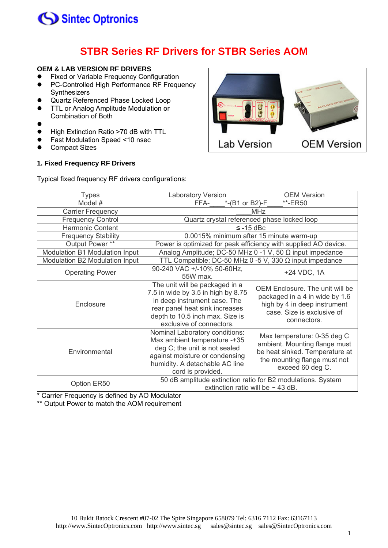

### **STBR Series RF Drivers for STBR Series AOM**

### **OEM & LAB VERSION RF DRIVERS**

- **•** Fixed or Variable Frequency Configuration
- PC-Controlled High Performance RF Frequency Synthesizers
- **Quartz Referenced Phase Locked Loop**
- TTL or Analog Amplitude Modulation or
- Combination of Both
- $\bullet$
- High Extinction Ratio >70 dB with TTL
- Fast Modulation Speed <10 nsec
- Compact Sizes

#### **1. Fixed Frequency RF Drivers**



Typical fixed frequency RF drivers configurations:

| Types                          | <b>Laboratory Version</b>                                                                                                                                                                             | <b>OEM Version</b>                                                                                                                                 |
|--------------------------------|-------------------------------------------------------------------------------------------------------------------------------------------------------------------------------------------------------|----------------------------------------------------------------------------------------------------------------------------------------------------|
| Model #                        | *-(B1 or B2)-F<br>**-ER50<br>FFA-                                                                                                                                                                     |                                                                                                                                                    |
| <b>Carrier Frequency</b>       | <b>MHz</b>                                                                                                                                                                                            |                                                                                                                                                    |
| <b>Frequency Control</b>       | Quartz crystal referenced phase locked loop                                                                                                                                                           |                                                                                                                                                    |
| <b>Harmonic Content</b>        | $\le$ -15 dBc                                                                                                                                                                                         |                                                                                                                                                    |
| <b>Frequency Stability</b>     | 0.0015% minimum after 15 minute warm-up                                                                                                                                                               |                                                                                                                                                    |
| Output Power **                | Power is optimized for peak efficiency with supplied AO device.                                                                                                                                       |                                                                                                                                                    |
| Modulation B1 Modulation Input | Analog Amplitude; DC-50 MHz 0 -1 V, 50 $\Omega$ input impedance                                                                                                                                       |                                                                                                                                                    |
| Modulation B2 Modulation Input | TTL Compatible; DC-50 MHz 0 -5 V, 330 $\Omega$ input impedance                                                                                                                                        |                                                                                                                                                    |
| <b>Operating Power</b>         | 90-240 VAC +/-10% 50-60Hz,<br>55W max.                                                                                                                                                                | +24 VDC, 1A                                                                                                                                        |
| Enclosure                      | The unit will be packaged in a<br>7.5 in wide by 3.5 in high by 8.75<br>in deep instrument case. The<br>rear panel heat sink increases<br>depth to 10.5 inch max. Size is<br>exclusive of connectors. | OEM Enclosure. The unit will be<br>packaged in a 4 in wide by 1.6<br>high by 4 in deep instrument<br>case. Size is exclusive of<br>connectors.     |
| Environmental                  | Nominal Laboratory conditions:<br>Max ambient temperature -+35<br>deg C; the unit is not sealed<br>against moisture or condensing<br>humidity. A detachable AC line<br>cord is provided.              | Max temperature: 0-35 deg C<br>ambient. Mounting flange must<br>be heat sinked. Temperature at<br>the mounting flange must not<br>exceed 60 deg C. |
| Option ER50                    | 50 dB amplitude extinction ratio for B2 modulations. System<br>extinction ratio will be $\sim$ 43 dB.                                                                                                 |                                                                                                                                                    |

\* Carrier Frequency is defined by AO Modulator

\*\* Output Power to match the AOM requirement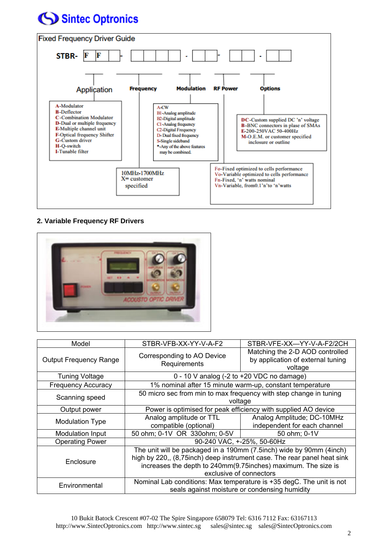# Sintec Optronics



### **2. Variable Frequency RF Drivers**



| Model                         | STBR-VFB-XX-YY-V-A-F2                                                                                                                                                                                                                        | STBR-VFE-XX-YY-V-A-F2/2CH                                                       |
|-------------------------------|----------------------------------------------------------------------------------------------------------------------------------------------------------------------------------------------------------------------------------------------|---------------------------------------------------------------------------------|
| <b>Output Frequency Range</b> | Corresponding to AO Device<br>Requirements                                                                                                                                                                                                   | Matching the 2-D AOD controlled<br>by application of external tuning<br>voltage |
| <b>Tuning Voltage</b>         | 0 - 10 V analog (-2 to +20 VDC no damage)                                                                                                                                                                                                    |                                                                                 |
| <b>Frequency Accuracy</b>     | 1% nominal after 15 minute warm-up, constant temperature                                                                                                                                                                                     |                                                                                 |
| Scanning speed                | 50 micro sec from min to max frequency with step change in tuning<br>voltage                                                                                                                                                                 |                                                                                 |
| Output power                  | Power is optimised for peak efficiency with supplied AO device                                                                                                                                                                               |                                                                                 |
| <b>Modulation Type</b>        | Analog amplitude or TTL<br>compatible (optional)                                                                                                                                                                                             | Analog Amplitude; DC-10MHz                                                      |
| <b>Modulation Input</b>       | 50 ohm; 0-1V OR 330ohm; 0-5V                                                                                                                                                                                                                 | independent for each channel<br>50 ohm; 0-1V                                    |
| <b>Operating Power</b>        | 90-240 VAC, +-25%, 50-60Hz                                                                                                                                                                                                                   |                                                                                 |
| Enclosure                     | The unit will be packaged in a 190mm (7.5inch) wide by 90mm (4inch)<br>high by 220,, (8,75 inch) deep instrument case. The rear panel heat sink<br>increases the depth to 240mm(9.75 inches) maximum. The size is<br>exclusive of connectors |                                                                                 |
| Environmental                 | Nominal Lab conditions: Max temperature is +35 degC. The unit is not<br>seals against moisture or condensing humidity                                                                                                                        |                                                                                 |